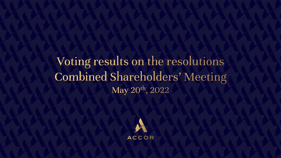Voting results on the resolutions **Combined Shareholders' Meeting** May 20<sup>th</sup>, 2022

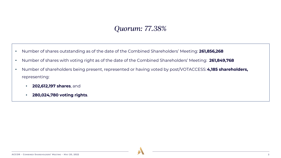## *Quorum: 77.38%*

- Number of shares outstanding as of the date of the Combined Shareholders' Meeting: **261,856,268**
- Number of shares with voting right as of the date of the Combined Shareholders' Meeting: **261,849,768**
- Number of shareholders being present, represented or having voted by post/VOTACCESS: **4,185 shareholders,**  representing:
	- **202,612,197 shares**, and
	- **280,024,780 voting rights**.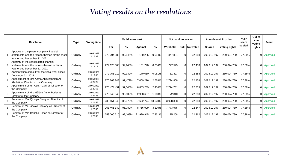## *Voting results on the resolutions*

| <b>Resolution</b> |                                                                                                                               | <b>Type</b> | <b>Voting time</b>     | Valid votes cast |         |            |         | Not valid votes cast |              |                  | <b>Attendees &amp; Proxies</b> |                      | $%$ of<br>share | Out of<br>vote<br>voting | Result   |
|-------------------|-------------------------------------------------------------------------------------------------------------------------------|-------------|------------------------|------------------|---------|------------|---------|----------------------|--------------|------------------|--------------------------------|----------------------|-----------------|--------------------------|----------|
|                   |                                                                                                                               |             |                        | For              | %       | Against    | %       | Withhold             |              | Null   Not voted | <b>Shares</b>                  | <b>Voting rights</b> | capital         | rights                   |          |
|                   | Approval of the parent company financial<br>statements and the reports thereon for the fiscal<br>year ended December 31, 2021 | Ordinary    | 20/05/2022<br>11:18:32 | 279 004 383      | 99,946% | 150 235    | 0.054%  | 847 804              | $\Omega$     | 22 3 58          | 202 612 197                    | 280 024 780          | 77,38%          |                          | Approved |
|                   | Approval of the consolidated financial<br>statements and the reports thereon for fiscal<br>year ended December 31, 2021       | Ordinary    | 20/05/2022<br>11:19:13 | 279 623 503      | 99,946% | 151 290    | 0,054%  | 227 529              | $\Omega$     | 22 458           | 202 612 197                    | 280 024 780          | 77,38%          |                          | Approved |
| 3                 | Appropriation of result for the fiscal year ended<br>December 31, 2021                                                        | Ordinary    | 20/05/2022<br>11:19:46 | 279 751 019      | 99,939% | 170 010    | 0,061%  | 81 393               | <sup>0</sup> | 22 358           | 202 612 197                    | 280 024 780          | 77,38%          |                          | Approved |
|                   | Appointment of Mrs Asma Abdulrahman Al-<br>Khulaifi as Director of the Company                                                | Ordinary    | 20/05/2022<br>11:20:20 | 270 268 248      | 97,472% | 7 009 216  | 2,528%  | 2 724 858            | <sup>0</sup> | 22 458           | 202 612 197                    | 280 024 780          | 77,38%          |                          | Approved |
|                   | Appointment of Mr. Ugo Arzani as Director of<br>the Company                                                                   | Ordinary    | 20/05/2022<br>11:20:53 | 270 474 451      | 97,546% | 6 803 239  | 2,454%  | 2 724 731            |              | 22 359           | 202 612 197                    | 280 024 780          | 77,38%          |                          | Approved |
| 6                 | Appointment of Mrs Hélène Auriol Potier as<br>Director of the Company                                                         | Ordinary    | 20/05/2022<br>11:21:26 | 276 940 945      | 98,932% | 2 988 637  | 1,068%  | 72 840               |              | 22 358           | 202 612 197                    | 280 024 780          | 77,38%          |                          | Approved |
|                   | Renewal of Mrs Qionger Jiang as Director of<br>the Company                                                                    | Ordinary    | 20/05/2022<br>11:21:58 | 238 451 340      | 86,372% | 37 622 774 | 13,628% | 3 928 308            |              | 22 358           | 202 612 197                    | 280 024 780          | 77,38%          |                          | Approved |
|                   | Renewal of Mr. Nicolas Sarkozy as Director of<br>the Company                                                                  | Ordinary    | 20/05/2022<br>11:22:32 | 263 461 349      | 96,780% | 8 766 909  | 3,220%  | 7 773 975            |              | 22 547           | 202 612 197                    | 280 024 780          | 77,38%          |                          | Approved |
| 9                 | Renewal of Mrs Isabelle Simon as Director of<br>the Company                                                                   | Ordinary    | 20/05/2022<br>11:23:05 | 258 006 215      | 92,169% | 21 920 945 | 7,831%  | 75 258               |              | 22 362           | 202 612 197                    | 280 024 780          | 77,38%          |                          | Approved |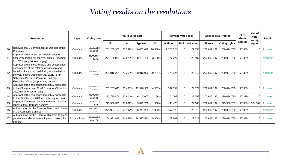## *Voting results on the resolutions*

| <b>Resolution</b> |                                                                                                                                                                                                                                                                               | <b>Type</b>   | <b>Voting time</b>     | Valid votes cast |               |            |         | Not valid votes cast |             |           | <b>Attendees &amp; Proxies</b> |                      | $%$ of<br>share | Out of<br>vote<br>voting | Result   |
|-------------------|-------------------------------------------------------------------------------------------------------------------------------------------------------------------------------------------------------------------------------------------------------------------------------|---------------|------------------------|------------------|---------------|------------|---------|----------------------|-------------|-----------|--------------------------------|----------------------|-----------------|--------------------------|----------|
|                   |                                                                                                                                                                                                                                                                               |               |                        | For              | $\frac{9}{6}$ | Against    | %       | Withhold             | <b>Null</b> | Not voted | <b>Shares</b>                  | <b>Voting rights</b> | capital         | rights                   |          |
| 10                | Renewal of Mr. Sarmad Zok as Director of the<br>Company                                                                                                                                                                                                                       | Ordinary      | 20/05/2022<br>11:23:39 | 231 230 350      | 83,392%       | 46 052 048 | 16,608% | 2 720 024            | $\Omega$    | 22 358    | 202 612 197                    | 280 024 780          | 77,38%          | 01                       | Approved |
|                   | Approval of the report on compensation of<br>executive officers for the year ended December<br>31, 2021 (ex post say on pay)                                                                                                                                                  | Ordinary      | 20/05/2022<br>11:24:16 | 271 169 901      | 96,872%       | 8 754 765  | 3,128%  | 77 627               | $\Omega$    | 22 487    | 202 612 197                    | 280 024 780          | 77,38%          | Οl                       | Approved |
| 12                | Approval of the fixed, variable and exceptional<br>components of the total compensation and<br>benefits of any kind paid during or awarded for<br>the year ended December 31, 2021, to Mr.<br>Sébastien Bazin as Chairman and Chief<br>Executive Officer (ex post say on pay) | Ordinary      | 20/05/2022<br>11:25:00 | 221 815 234      | 79,269%       | 58 012 009 | 20,731% | 175 024              | $\Omega$    | 22 513    | 202 612 197                    | 280 024 780          | 77,38%          | 01                       | Approved |
| 13                | Approval of the compensation policy applicable<br>to the Chairman and Chief Executive Officer for<br>2022 (ex ante say on pay)                                                                                                                                                | Ordinary      | 20/05/2022<br>11:25:32 | 267 237 693      | 95,498%       | 12 596 959 | 4,502%  | 167 554              | $\Omega$    | 22 574    | 202 612 197                    | 280 024 780          | 77,38%          | 01                       | Approved |
| 14                | Approval of the compensation policy applicable<br>to the Directors for 2022 (ex ante say on pay)                                                                                                                                                                              | Ordinary      | 20/05/2022<br>11:26:05 | 273 780 406      | 97,804%       | 6 147 607  | 2,196%  | 74 208               | $\Omega$    | 22 559    | 202 612 197                    | 280 024 780          | 77,38%          | Οl                       | Approved |
| 15                | Approval of a related-party agreement - Special<br>report of the Statutory Auditors                                                                                                                                                                                           | Ordinary      | 20/05/2022<br>11:26:36 | 275 556 320      | 98,632%       | 3 822 750  | 1,368%  | 98 478               | $\Omega$    | 22 683    | 202 612 197                    | 279 500 231          | 77,38%          | 524 549                  | Approved |
| 16                | Authorization for the Board of Directors to trade<br>in the Company's shares                                                                                                                                                                                                  | Ordinary      | 20/05/2022<br>11:27:07 | 271 897 799      | 98,107%       | 5 247 295  | 1,893%  | 2 857 173            | $\Omega$    | 22 513    | 202 612 197                    | 280 024 780          | 77,38%          | 01                       | Approved |
| .17               | Authorization for the Board of Directors to grant<br>performance shares to employees or executive<br>officers                                                                                                                                                                 | Extraordinary | 20/05/2022<br>11:27:42 | 264 931 848      | 94,642%       | 14 997 542 | 5,358%  | 72 867               | $\Omega$    | 22 5 23   | 202 612 197                    | 280 024 780          | 77,38%          | 01                       | Approved |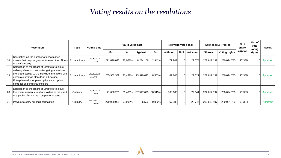## *Voting results on the resolutions*

| <b>Resolution</b> |                                                                                                                                                                                                                                                                                   | Type          | Voting time            | Valid votes cast |         |                     |         | Not valid votes cast |          |                  | <b>Attendees &amp; Proxies</b> | $%$ of<br>share      | Out of<br>vote<br>voting | Result   |            |
|-------------------|-----------------------------------------------------------------------------------------------------------------------------------------------------------------------------------------------------------------------------------------------------------------------------------|---------------|------------------------|------------------|---------|---------------------|---------|----------------------|----------|------------------|--------------------------------|----------------------|--------------------------|----------|------------|
|                   |                                                                                                                                                                                                                                                                                   |               |                        | For              | %       | Against             | %       | Withhold             |          | Null   Not voted | <b>Shares</b>                  | <b>Voting rights</b> | capital                  | rights   |            |
| 18                | Restriction on the number of performance<br>shares that may be granted to executive officers   Extraordinary<br>of the Company                                                                                                                                                    |               | 20/05/2022<br>11:28:15 | 271 696 093      | 97,058% | 8 234 166           | 2,942%  | 71 947               | $\Omega$ | 22 574           | 202 612 197                    | 280 024 780          | 77,38%                   |          | 0 Approved |
| 19                | Delegation to the Board of Directors to issue<br>ordinary shares or securities giving access to<br>the share capital to the benefit of members of a<br>corporate savings plan (Plan d'Épargne<br>Entreprise) without pre-emptive subscription<br>rights for existing shareholders | Extraordinary | 20/05/2022<br>11:28:57 | 255 962 389      | 91,437% | 23 970 022          | 8,563%  | 69 748               | $\Omega$ | 22 621           | 202 612 197                    | 280 024 780          | 77,38%                   | $\Omega$ | Approved   |
| 20                | Delegation to the Board of Directors to issue<br>Ifree share warrants to shareholders in the event<br>of a public offer on the Company's shares                                                                                                                                   | Ordinary      | 20/05/2022<br>11:29:35 | 171 686 263      |         | 61,485% 107 547 693 | 38,515% | 768 183              | $\Omega$ | 22 641           | 202 612 197                    | 280 024 780          | 77,38%                   |          | Approved   |
| 21                | Powers to carry out legal formalities                                                                                                                                                                                                                                             | Ordinary      | 20/05/2022<br>11:30:04 | 279 928 055      | 99,998% | 6 5 9 3             | 0,002%  | 67 385               |          | 22 747           | 202 612 197                    | 280 024 780          | 77,38%                   |          | Approved   |